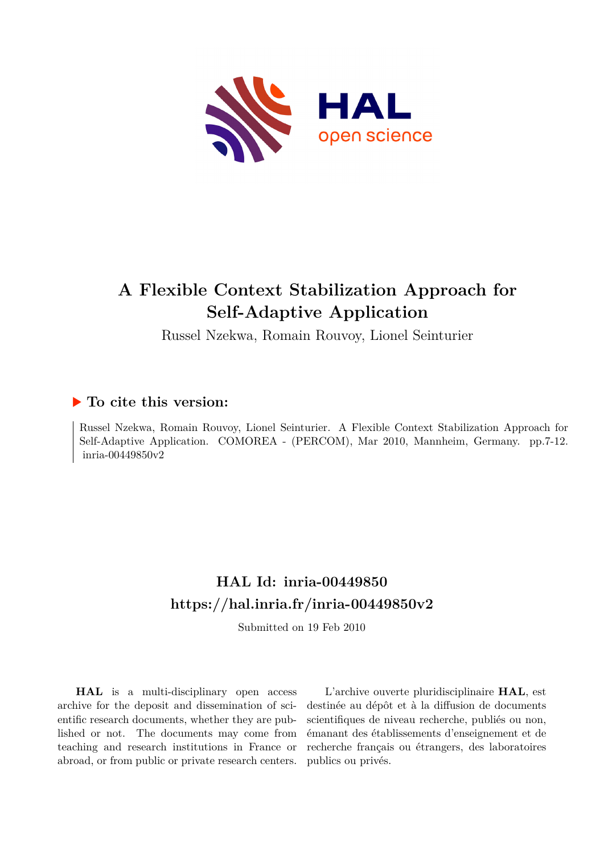

# **A Flexible Context Stabilization Approach for Self-Adaptive Application**

Russel Nzekwa, Romain Rouvoy, Lionel Seinturier

### **To cite this version:**

Russel Nzekwa, Romain Rouvoy, Lionel Seinturier. A Flexible Context Stabilization Approach for Self-Adaptive Application. COMOREA - (PERCOM), Mar 2010, Mannheim, Germany. pp.7-12. inria-00449850v2

## **HAL Id: inria-00449850 <https://hal.inria.fr/inria-00449850v2>**

Submitted on 19 Feb 2010

**HAL** is a multi-disciplinary open access archive for the deposit and dissemination of scientific research documents, whether they are published or not. The documents may come from teaching and research institutions in France or abroad, or from public or private research centers.

L'archive ouverte pluridisciplinaire **HAL**, est destinée au dépôt et à la diffusion de documents scientifiques de niveau recherche, publiés ou non, émanant des établissements d'enseignement et de recherche français ou étrangers, des laboratoires publics ou privés.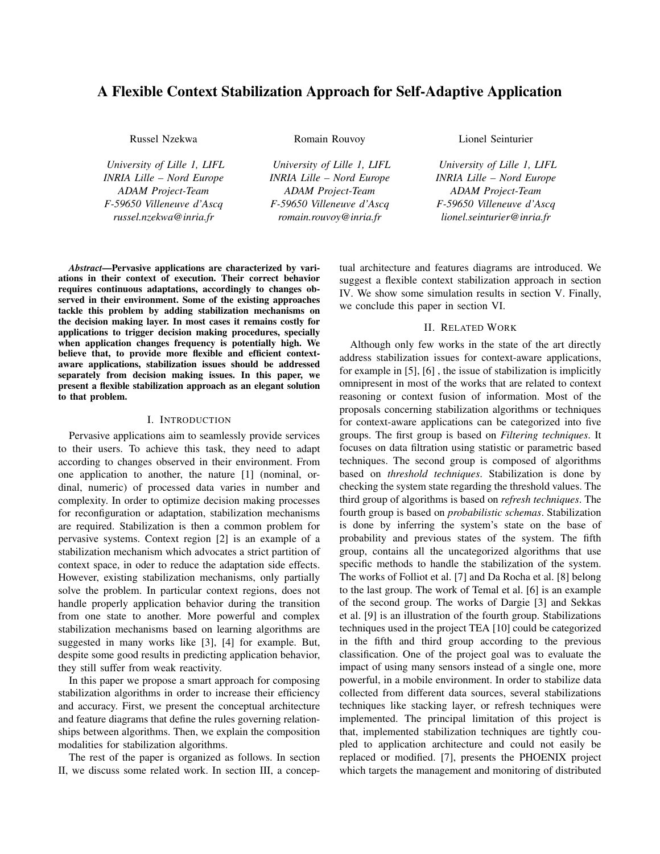### A Flexible Context Stabilization Approach for Self-Adaptive Application

Russel Nzekwa

*University of Lille 1, LIFL INRIA Lille – Nord Europe ADAM Project-Team F-59650 Villeneuve d'Ascq russel.nzekwa@inria.fr*

Romain Rouvoy

*University of Lille 1, LIFL INRIA Lille – Nord Europe ADAM Project-Team F-59650 Villeneuve d'Ascq romain.rouvoy@inria.fr*

Lionel Seinturier

*University of Lille 1, LIFL INRIA Lille – Nord Europe ADAM Project-Team F-59650 Villeneuve d'Ascq lionel.seinturier@inria.fr*

*Abstract*—Pervasive applications are characterized by variations in their context of execution. Their correct behavior requires continuous adaptations, accordingly to changes observed in their environment. Some of the existing approaches tackle this problem by adding stabilization mechanisms on the decision making layer. In most cases it remains costly for applications to trigger decision making procedures, specially when application changes frequency is potentially high. We believe that, to provide more flexible and efficient contextaware applications, stabilization issues should be addressed separately from decision making issues. In this paper, we present a flexible stabilization approach as an elegant solution to that problem.

#### I. INTRODUCTION

Pervasive applications aim to seamlessly provide services to their users. To achieve this task, they need to adapt according to changes observed in their environment. From one application to another, the nature [1] (nominal, ordinal, numeric) of processed data varies in number and complexity. In order to optimize decision making processes for reconfiguration or adaptation, stabilization mechanisms are required. Stabilization is then a common problem for pervasive systems. Context region [2] is an example of a stabilization mechanism which advocates a strict partition of context space, in oder to reduce the adaptation side effects. However, existing stabilization mechanisms, only partially solve the problem. In particular context regions, does not handle properly application behavior during the transition from one state to another. More powerful and complex stabilization mechanisms based on learning algorithms are suggested in many works like [3], [4] for example. But, despite some good results in predicting application behavior, they still suffer from weak reactivity.

In this paper we propose a smart approach for composing stabilization algorithms in order to increase their efficiency and accuracy. First, we present the conceptual architecture and feature diagrams that define the rules governing relationships between algorithms. Then, we explain the composition modalities for stabilization algorithms.

The rest of the paper is organized as follows. In section II, we discuss some related work. In section III, a conceptual architecture and features diagrams are introduced. We suggest a flexible context stabilization approach in section IV. We show some simulation results in section V. Finally, we conclude this paper in section VI.

#### II. RELATED WORK

Although only few works in the state of the art directly address stabilization issues for context-aware applications, for example in [5], [6] , the issue of stabilization is implicitly omnipresent in most of the works that are related to context reasoning or context fusion of information. Most of the proposals concerning stabilization algorithms or techniques for context-aware applications can be categorized into five groups. The first group is based on *Filtering techniques*. It focuses on data filtration using statistic or parametric based techniques. The second group is composed of algorithms based on *threshold techniques*. Stabilization is done by checking the system state regarding the threshold values. The third group of algorithms is based on *refresh techniques*. The fourth group is based on *probabilistic schemas*. Stabilization is done by inferring the system's state on the base of probability and previous states of the system. The fifth group, contains all the uncategorized algorithms that use specific methods to handle the stabilization of the system. The works of Folliot et al. [7] and Da Rocha et al. [8] belong to the last group. The work of Temal et al. [6] is an example of the second group. The works of Dargie [3] and Sekkas et al. [9] is an illustration of the fourth group. Stabilizations techniques used in the project TEA [10] could be categorized in the fifth and third group according to the previous classification. One of the project goal was to evaluate the impact of using many sensors instead of a single one, more powerful, in a mobile environment. In order to stabilize data collected from different data sources, several stabilizations techniques like stacking layer, or refresh techniques were implemented. The principal limitation of this project is that, implemented stabilization techniques are tightly coupled to application architecture and could not easily be replaced or modified. [7], presents the PHOENIX project which targets the management and monitoring of distributed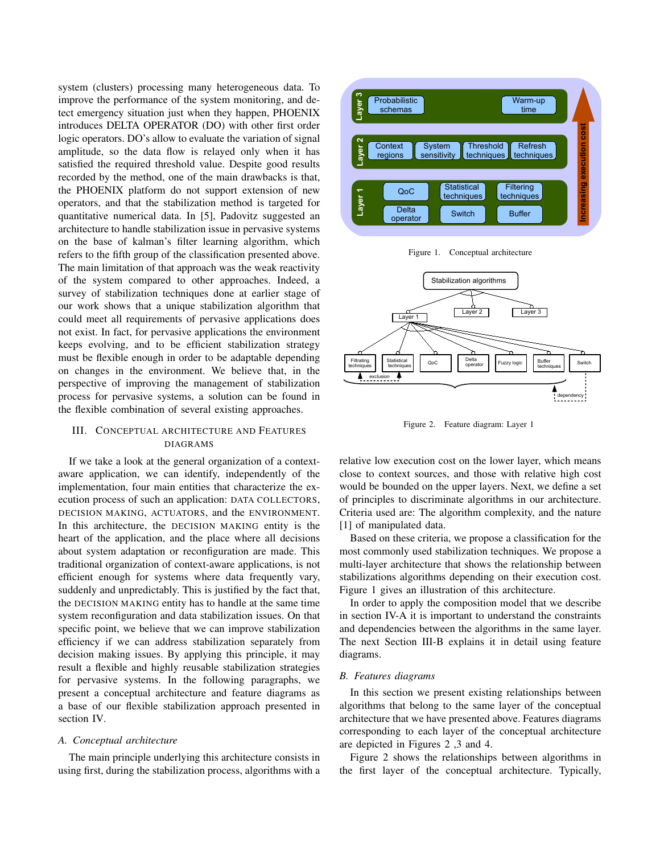system (clusters) processing many heterogeneous data. To improve the performance of the system monitoring, and detect emergency situation just when they happen, PHOENIX introduces DELTA OPERATOR (DO) with other first order logic operators. DO's allow to evaluate the variation of signal amplitude, so the data flow is relayed only when it has satisfied the required threshold value. Despite good results recorded by the method, one of the main drawbacks is that, the PHOENIX platform do not support extension of new operators, and that the stabilization method is targeted for quantitative numerical data. In [5], Padovitz suggested an architecture to handle stabilization issue in pervasive systems on the base of kalman's filter learning algorithm, which refers to the fifth group of the classification presented above. The main limitation of that approach was the weak reactivity of the system compared to other approaches. Indeed, a survey of stabilization techniques done at earlier stage of our work shows that a unique stabilization algorithm that could meet all requirements of pervasive applications does not exist. In fact, for pervasive applications the environment keeps evolving, and to be efficient stabilization strategy must be flexible enough in order to be adaptable depending on changes in the environment. We believe that, in the perspective of improving the management of stabilization process for pervasive systems, a solution can be found in the flexible combination of several existing approaches.

#### III. CONCEPTUAL ARCHITECTURE AND FEATURES DIAGRAMS

If we take a look at the general organization of a contextaware application, we can identify, independently of the implementation, four main entities that characterize the execution process of such an application: DATA COLLECTORS, DECISION MAKING, ACTUATORS, and the ENVIRONMENT. In this architecture, the DECISION MAKING entity is the heart of the application, and the place where all decisions about system adaptation or reconfiguration are made. This traditional organization of context-aware applications, is not efficient enough for systems where data frequently vary, suddenly and unpredictably. This is justified by the fact that, the DECISION MAKING entity has to handle at the same time system reconfiguration and data stabilization issues. On that specific point, we believe that we can improve stabilization efficiency if we can address stabilization separately from decision making issues. By applying this principle, it may result a flexible and highly reusable stabilization strategies for pervasive systems. In the following paragraphs, we present a conceptual architecture and feature diagrams as a base of our flexible stabilization approach presented in section IV.

#### *A. Conceptual architecture*

The main principle underlying this architecture consists in using first, during the stabilization process, algorithms with a



Figure 1. Conceptual architecture



Figure 2. Feature diagram: Layer 1

relative low execution cost on the lower layer, which means close to context sources, and those with relative high cost would be bounded on the upper layers. Next, we define a set of principles to discriminate algorithms in our architecture. Criteria used are: The algorithm complexity, and the nature [1] of manipulated data.

Based on these criteria, we propose a classification for the most commonly used stabilization techniques. We propose a multi-layer architecture that shows the relationship between stabilizations algorithms depending on their execution cost. Figure 1 gives an illustration of this architecture.

In order to apply the composition model that we describe in section IV-A it is important to understand the constraints and dependencies between the algorithms in the same layer. The next Section III-B explains it in detail using feature diagrams.

#### *B. Features diagrams*

In this section we present existing relationships between algorithms that belong to the same layer of the conceptual architecture that we have presented above. Features diagrams corresponding to each layer of the conceptual architecture are depicted in Figures 2 ,3 and 4.

Figure 2 shows the relationships between algorithms in the first layer of the conceptual architecture. Typically,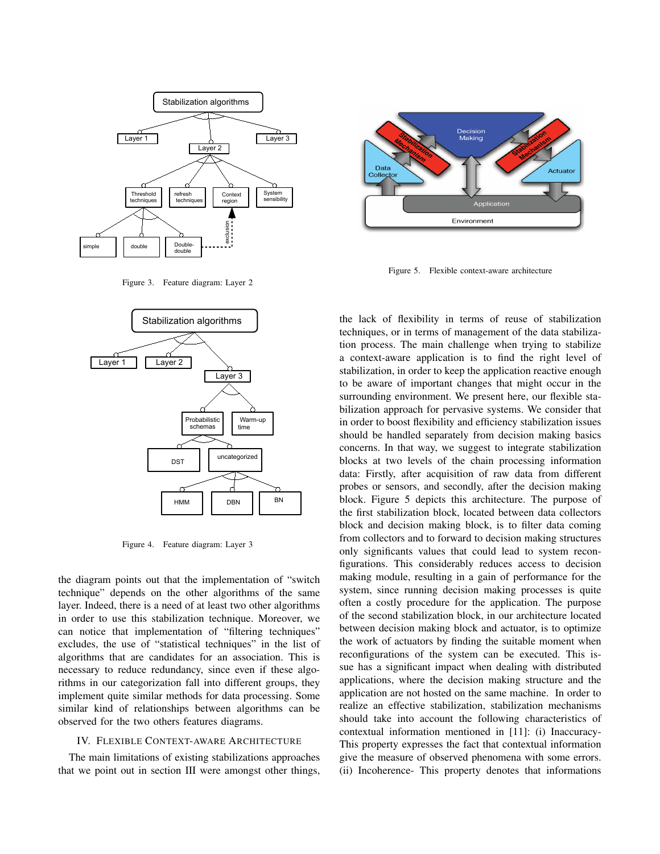

Figure 3. Feature diagram: Layer 2



Figure 4. Feature diagram: Layer 3

the diagram points out that the implementation of "switch technique" depends on the other algorithms of the same layer. Indeed, there is a need of at least two other algorithms in order to use this stabilization technique. Moreover, we can notice that implementation of "filtering techniques" excludes, the use of "statistical techniques" in the list of algorithms that are candidates for an association. This is necessary to reduce redundancy, since even if these algorithms in our categorization fall into different groups, they implement quite similar methods for data processing. Some similar kind of relationships between algorithms can be observed for the two others features diagrams.

#### IV. FLEXIBLE CONTEXT-AWARE ARCHITECTURE

The main limitations of existing stabilizations approaches that we point out in section III were amongst other things,



Figure 5. Flexible context-aware architecture

the lack of flexibility in terms of reuse of stabilization techniques, or in terms of management of the data stabilization process. The main challenge when trying to stabilize a context-aware application is to find the right level of stabilization, in order to keep the application reactive enough to be aware of important changes that might occur in the surrounding environment. We present here, our flexible stabilization approach for pervasive systems. We consider that in order to boost flexibility and efficiency stabilization issues should be handled separately from decision making basics concerns. In that way, we suggest to integrate stabilization blocks at two levels of the chain processing information data: Firstly, after acquisition of raw data from different probes or sensors, and secondly, after the decision making block. Figure 5 depicts this architecture. The purpose of the first stabilization block, located between data collectors block and decision making block, is to filter data coming from collectors and to forward to decision making structures only significants values that could lead to system reconfigurations. This considerably reduces access to decision making module, resulting in a gain of performance for the system, since running decision making processes is quite often a costly procedure for the application. The purpose of the second stabilization block, in our architecture located between decision making block and actuator, is to optimize the work of actuators by finding the suitable moment when reconfigurations of the system can be executed. This issue has a significant impact when dealing with distributed applications, where the decision making structure and the application are not hosted on the same machine. In order to realize an effective stabilization, stabilization mechanisms should take into account the following characteristics of contextual information mentioned in [11]: (i) Inaccuracy-This property expresses the fact that contextual information give the measure of observed phenomena with some errors. (ii) Incoherence- This property denotes that informations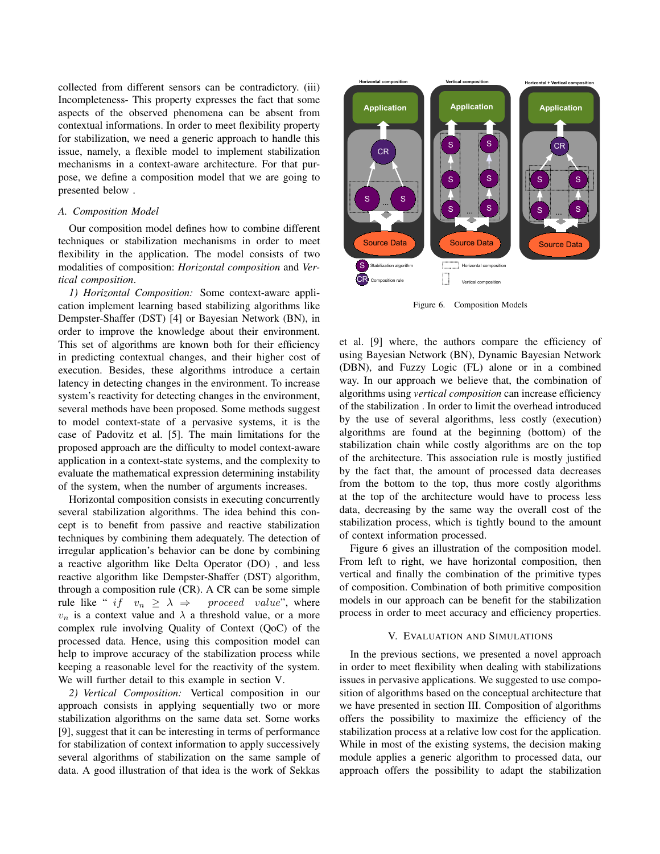collected from different sensors can be contradictory. (iii) Incompleteness- This property expresses the fact that some aspects of the observed phenomena can be absent from contextual informations. In order to meet flexibility property for stabilization, we need a generic approach to handle this issue, namely, a flexible model to implement stabilization mechanisms in a context-aware architecture. For that purpose, we define a composition model that we are going to presented below .

#### *A. Composition Model*

Our composition model defines how to combine different techniques or stabilization mechanisms in order to meet flexibility in the application. The model consists of two modalities of composition: *Horizontal composition* and *Vertical composition*.

*1) Horizontal Composition:* Some context-aware application implement learning based stabilizing algorithms like Dempster-Shaffer (DST) [4] or Bayesian Network (BN), in order to improve the knowledge about their environment. This set of algorithms are known both for their efficiency in predicting contextual changes, and their higher cost of execution. Besides, these algorithms introduce a certain latency in detecting changes in the environment. To increase system's reactivity for detecting changes in the environment, several methods have been proposed. Some methods suggest to model context-state of a pervasive systems, it is the case of Padovitz et al. [5]. The main limitations for the proposed approach are the difficulty to model context-aware application in a context-state systems, and the complexity to evaluate the mathematical expression determining instability of the system, when the number of arguments increases.

Horizontal composition consists in executing concurrently several stabilization algorithms. The idea behind this concept is to benefit from passive and reactive stabilization techniques by combining them adequately. The detection of irregular application's behavior can be done by combining a reactive algorithm like Delta Operator (DO) , and less reactive algorithm like Dempster-Shaffer (DST) algorithm, through a composition rule (CR). A CR can be some simple rule like " if  $v_n \geq \lambda \Rightarrow$  proceed value", where  $v_n$  is a context value and  $\lambda$  a threshold value, or a more complex rule involving Quality of Context (QoC) of the processed data. Hence, using this composition model can help to improve accuracy of the stabilization process while keeping a reasonable level for the reactivity of the system. We will further detail to this example in section V.

*2) Vertical Composition:* Vertical composition in our approach consists in applying sequentially two or more stabilization algorithms on the same data set. Some works [9], suggest that it can be interesting in terms of performance for stabilization of context information to apply successively several algorithms of stabilization on the same sample of data. A good illustration of that idea is the work of Sekkas



Figure 6. Composition Models

et al. [9] where, the authors compare the efficiency of using Bayesian Network (BN), Dynamic Bayesian Network (DBN), and Fuzzy Logic (FL) alone or in a combined way. In our approach we believe that, the combination of algorithms using *vertical composition* can increase efficiency of the stabilization . In order to limit the overhead introduced by the use of several algorithms, less costly (execution) algorithms are found at the beginning (bottom) of the stabilization chain while costly algorithms are on the top of the architecture. This association rule is mostly justified by the fact that, the amount of processed data decreases from the bottom to the top, thus more costly algorithms at the top of the architecture would have to process less data, decreasing by the same way the overall cost of the stabilization process, which is tightly bound to the amount of context information processed.

Figure 6 gives an illustration of the composition model. From left to right, we have horizontal composition, then vertical and finally the combination of the primitive types of composition. Combination of both primitive composition models in our approach can be benefit for the stabilization process in order to meet accuracy and efficiency properties.

#### V. EVALUATION AND SIMULATIONS

In the previous sections, we presented a novel approach in order to meet flexibility when dealing with stabilizations issues in pervasive applications. We suggested to use composition of algorithms based on the conceptual architecture that we have presented in section III. Composition of algorithms offers the possibility to maximize the efficiency of the stabilization process at a relative low cost for the application. While in most of the existing systems, the decision making module applies a generic algorithm to processed data, our approach offers the possibility to adapt the stabilization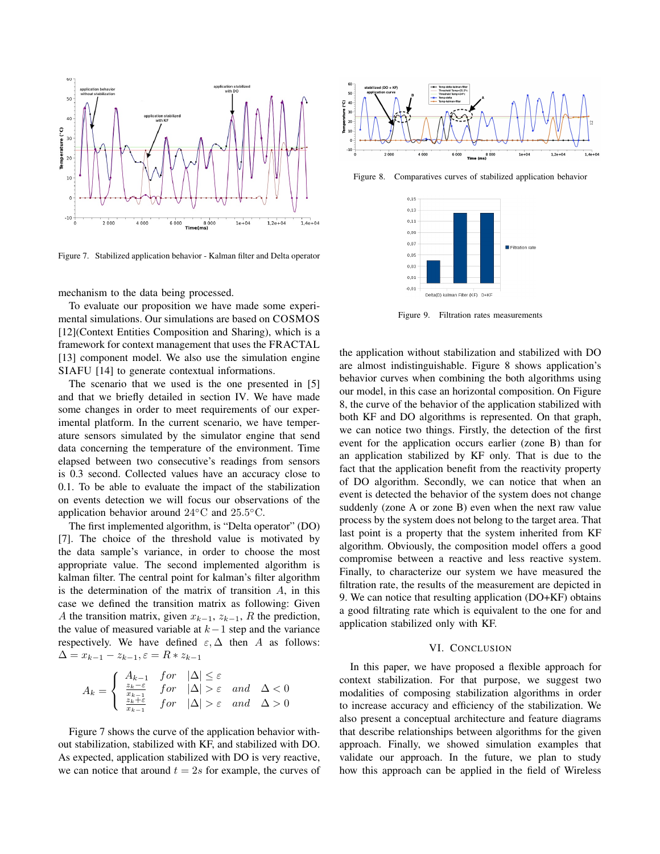

Figure 7. Stabilized application behavior - Kalman filter and Delta operator

mechanism to the data being processed.

To evaluate our proposition we have made some experimental simulations. Our simulations are based on COSMOS [12](Context Entities Composition and Sharing), which is a framework for context management that uses the FRACTAL [13] component model. We also use the simulation engine SIAFU [14] to generate contextual informations.

The scenario that we used is the one presented in [5] and that we briefly detailed in section IV. We have made some changes in order to meet requirements of our experimental platform. In the current scenario, we have temperature sensors simulated by the simulator engine that send data concerning the temperature of the environment. Time elapsed between two consecutive's readings from sensors is 0.3 second. Collected values have an accuracy close to 0.1. To be able to evaluate the impact of the stabilization on events detection we will focus our observations of the application behavior around 24◦C and 25.5 ◦C.

The first implemented algorithm, is "Delta operator" (DO) [7]. The choice of the threshold value is motivated by the data sample's variance, in order to choose the most appropriate value. The second implemented algorithm is kalman filter. The central point for kalman's filter algorithm is the determination of the matrix of transition  $A$ , in this case we defined the transition matrix as following: Given A the transition matrix, given  $x_{k-1}$ ,  $z_{k-1}$ , R the prediction, the value of measured variable at  $k-1$  step and the variance respectively. We have defined  $\varepsilon$ ,  $\Delta$  then A as follows:  $\Delta = x_{k-1} - z_{k-1}, \varepsilon = R * z_{k-1}$ 

$$
A_k = \begin{cases} A_{k-1} & \text{for} \quad |\Delta| \le \varepsilon \\ \frac{z_k - \varepsilon}{x_{k-1}} & \text{for} \quad |\Delta| > \varepsilon \quad \text{and} \quad \Delta < 0 \\ \frac{z_k + \varepsilon}{x_k - 1} & \text{for} \quad |\Delta| > \varepsilon \quad \text{and} \quad \Delta > 0 \end{cases}
$$

Figure 7 shows the curve of the application behavior without stabilization, stabilized with KF, and stabilized with DO. As expected, application stabilized with DO is very reactive, we can notice that around  $t = 2s$  for example, the curves of



Figure 8. Comparatives curves of stabilized application behavior



Figure 9. Filtration rates measurements

8, the curve of the behavior of the application stabilized with the application without stabilization and stabilized with DO are almost indistinguishable. Figure 8 shows application's behavior curves when combining the both algorithms using our model, in this case an horizontal composition. On Figure both KF and DO algorithms is represented. On that graph, we can notice two things. Firstly, the detection of the first event for the application occurs earlier (zone B) than for an application stabilized by KF only. That is due to the fact that the application benefit from the reactivity property of DO algorithm. Secondly, we can notice that when an event is detected the behavior of the system does not change suddenly (zone A or zone B) even when the next raw value process by the system does not belong to the target area. That last point is a property that the system inherited from KF algorithm. Obviously, the composition model offers a good compromise between a reactive and less reactive system. Finally, to characterize our system we have measured the filtration rate, the results of the measurement are depicted in 9. We can notice that resulting application (DO+KF) obtains a good filtrating rate which is equivalent to the one for and application stabilized only with KF.

#### VI. CONCLUSION

In this paper, we have proposed a flexible approach for context stabilization. For that purpose, we suggest two modalities of composing stabilization algorithms in order to increase accuracy and efficiency of the stabilization. We also present a conceptual architecture and feature diagrams that describe relationships between algorithms for the given approach. Finally, we showed simulation examples that validate our approach. In the future, we plan to study how this approach can be applied in the field of Wireless